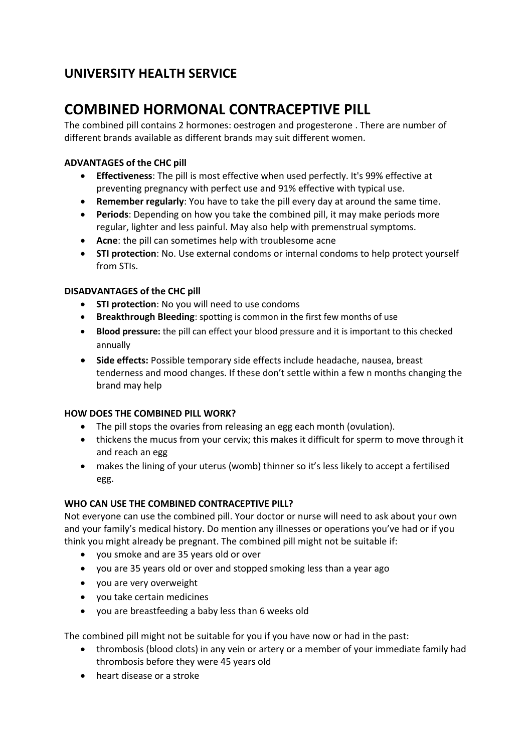## **UNIVERSITY HEALTH SERVICE**

# **COMBINED HORMONAL CONTRACEPTIVE PILL**

The combined pill contains 2 hormones: oestrogen and progesterone . There are number of different brands available as different brands may suit different women.

## **ADVANTAGES of the CHC pill**

- **Effectiveness**: The pill is most effective when used perfectly. It's 99% effective at preventing pregnancy with perfect use and 91% effective with typical use.
- **Remember regularly**: You have to take the pill every day at around the same time.
- **Periods**: Depending on how you take the combined pill, it may make periods more regular, lighter and less painful. May also help with premenstrual symptoms.
- **Acne**: the pill can sometimes help with troublesome acne
- **STI protection**: No. Use external condoms or internal condoms to help protect yourself from STIs.

## **DISADVANTAGES of the CHC pill**

- **STI protection**: No you will need to use condoms
- **Breakthrough Bleeding**: spotting is common in the first few months of use
- **Blood pressure:** the pill can effect your blood pressure and it is important to this checked annually
- **Side effects:** Possible temporary side effects include headache, nausea, breast tenderness and mood changes. If these don't settle within a few n months changing the brand may help

#### **HOW DOES THE COMBINED PILL WORK?**

- The pill stops the ovaries from releasing an egg each month (ovulation).
- thickens the mucus from your cervix; this makes it difficult for sperm to move through it and reach an egg
- makes the lining of your uterus (womb) thinner so it's less likely to accept a fertilised egg.

#### **WHO CAN USE THE COMBINED CONTRACEPTIVE PILL?**

Not everyone can use the combined pill. Your doctor or nurse will need to ask about your own and your family's medical history. Do mention any illnesses or operations you've had or if you think you might already be pregnant. The combined pill might not be suitable if:

- you smoke and are 35 years old or over
- you are 35 years old or over and stopped smoking less than a year ago
- you are very overweight
- you take certain medicines
- you are breastfeeding a baby less than 6 weeks old

The combined pill might not be suitable for you if you have now or had in the past:

- thrombosis (blood clots) in any vein or artery or a member of your immediate family had thrombosis before they were 45 years old
- heart disease or a stroke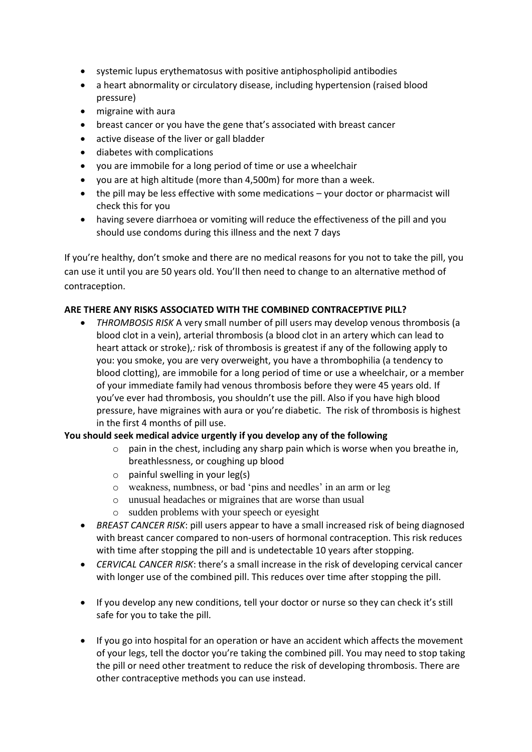- systemic lupus erythematosus with positive antiphospholipid antibodies
- a heart abnormality or circulatory disease, including hypertension (raised blood pressure)
- migraine with aura
- breast cancer or you have the gene that's associated with breast cancer
- active disease of the liver or gall bladder
- diabetes with complications
- you are immobile for a long period of time or use a wheelchair
- you are at high altitude (more than 4,500m) for more than a week.
- the pill may be less effective with some medications your doctor or pharmacist will check this for you
- having severe diarrhoea or vomiting will reduce the effectiveness of the pill and you should use condoms during this illness and the next 7 days

If you're healthy, don't smoke and there are no medical reasons for you not to take the pill, you can use it until you are 50 years old. You'll then need to change to an alternative method of contraception.

#### **ARE THERE ANY RISKS ASSOCIATED WITH THE COMBINED CONTRACEPTIVE PILL?**

• *THROMBOSIS RISK* A very small number of pill users may develop venous thrombosis (a blood clot in a vein), arterial thrombosis (a blood clot in an artery which can lead to heart attack or stroke),*:* risk of thrombosis is greatest if any of the following apply to you: you smoke, you are very overweight, you have a thrombophilia (a tendency to blood clotting), are immobile for a long period of time or use a wheelchair, or a member of your immediate family had venous thrombosis before they were 45 years old. If you've ever had thrombosis, you shouldn't use the pill. Also if you have high blood pressure, have migraines with aura or you're diabetic. The risk of thrombosis is highest in the first 4 months of pill use.

## **You should seek medical advice urgently if you develop any of the following**

- $\circ$  pain in the chest, including any sharp pain which is worse when you breathe in, breathlessness, or coughing up blood
- $\circ$  painful swelling in your leg(s)
- o weakness, numbness, or bad 'pins and needles' in an arm or leg
- o unusual headaches or migraines that are worse than usual
- o sudden problems with your speech or eyesight
- *BREAST CANCER RISK*: pill users appear to have a small increased risk of being diagnosed with breast cancer compared to non-users of hormonal contraception. This risk reduces with time after stopping the pill and is undetectable 10 years after stopping.
- *CERVICAL CANCER RISK*: there's a small increase in the risk of developing cervical cancer with longer use of the combined pill. This reduces over time after stopping the pill.
- If you develop any new conditions, tell your doctor or nurse so they can check it's still safe for you to take the pill.
- If you go into hospital for an operation or have an accident which affects the movement of your legs, tell the doctor you're taking the combined pill. You may need to stop taking the pill or need other treatment to reduce the risk of developing thrombosis. There are other contraceptive methods you can use instead.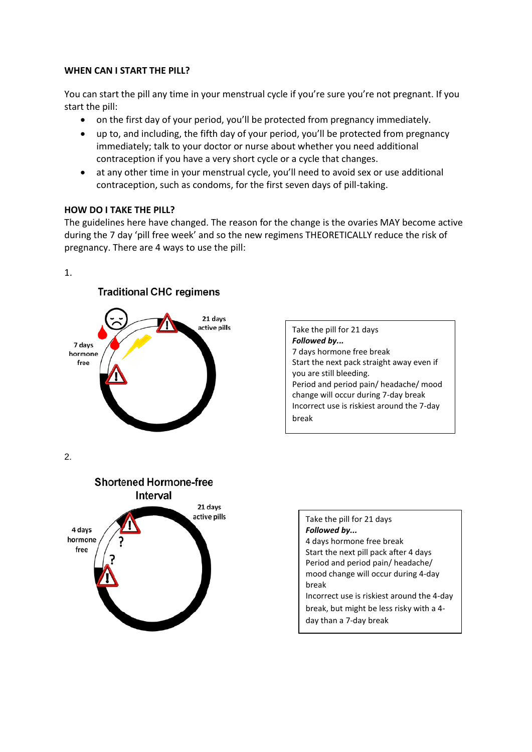#### **WHEN CAN I START THE PILL?**

You can start the pill any time in your menstrual cycle if you're sure you're not pregnant. If you start the pill:

- on the first day of your period, you'll be protected from pregnancy immediately.
- up to, and including, the fifth day of your period, you'll be protected from pregnancy immediately; talk to your doctor or nurse about whether you need additional contraception if you have a very short cycle or a cycle that changes.
- at any other time in your menstrual cycle, you'll need to avoid sex or use additional contraception, such as condoms, for the first seven days of pill-taking.

#### **HOW DO I TAKE THE PILL?**

The guidelines here have changed. The reason for the change is the ovaries MAY become active during the 7 day 'pill free week' and so the new regimens THEORETICALLY reduce the risk of pregnancy. There are 4 ways to use the pill:

#### 1.



Take the pill for 21 days *Followed by...*  7 days hormone free break Start the next pack straight away even if you are still bleeding. Period and period pain/ headache/ mood change will occur during 7-day break Incorrect use is riskiest around the 7-day break

2.



| Take the pill for 21 days<br>Followed by   |
|--------------------------------------------|
| 4 days hormone free break                  |
| Start the next pill pack after 4 days      |
| Period and period pain/ headache/          |
| mood change will occur during 4-day        |
| break                                      |
| Incorrect use is riskiest around the 4-day |
| break, but might be less risky with a 4-   |
| day than a 7-day break                     |
|                                            |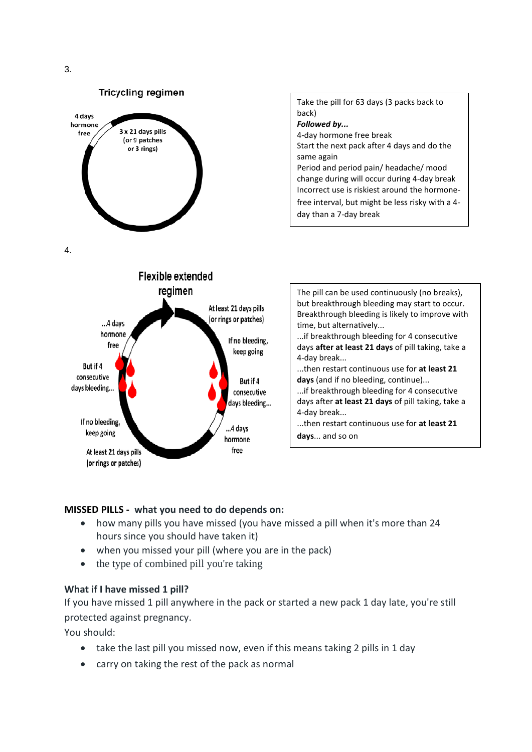

...if breakthrough bleeding for 4 consecutive days after **at least 21 days** of pill taking, take a 4-day break...

...then restart continuous use for **at least 21 days**... and so on

#### **MISSED PILLS - what you need to do depends on:**

• how many pills you have missed (you have missed a pill when it's more than 24 hours since you should have taken it)

consecutive days bleeding...

..4 davs

hormone free

- when you missed your pill (where you are in the pack)
- the type of combined pill you're taking

#### **What if I have missed 1 pill?**

If you have missed 1 pill anywhere in the pack or started a new pack 1 day late, you're still protected against pregnancy.

You should:

If no bleeding,

keep going

At least 21 days pills (or rings or patches)

- take the last pill you missed now, even if this means taking 2 pills in 1 day
- carry on taking the rest of the pack as normal